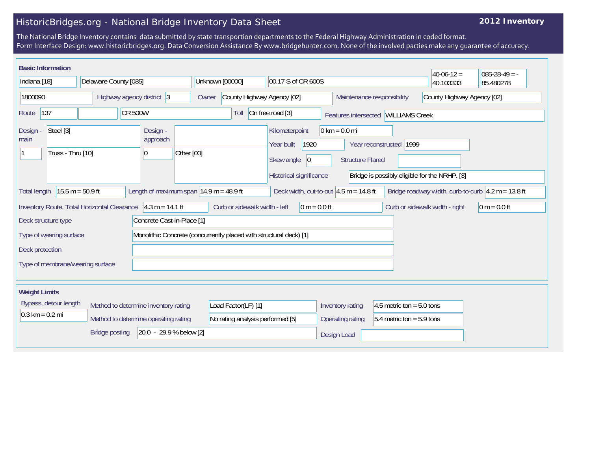## HistoricBridges.org - National Bridge Inventory Data Sheet

## **2012 Inventory**

The National Bridge Inventory contains data submitted by state transportion departments to the Federal Highway Administration in coded format. Form Interface Design: www.historicbridges.org. Data Conversion Assistance By www.bridgehunter.com. None of the involved parties make any guarantee of accuracy.

|                                                                                                                                                                                                                                | <b>Basic Information</b>                                                  |                           |    |                                                                 |                                  |                                       |                                                                                                                                                                                                                                |                             |                                                          | $40-06-12 =$ | $085-28-49 = -$ |
|--------------------------------------------------------------------------------------------------------------------------------------------------------------------------------------------------------------------------------|---------------------------------------------------------------------------|---------------------------|----|-----------------------------------------------------------------|----------------------------------|---------------------------------------|--------------------------------------------------------------------------------------------------------------------------------------------------------------------------------------------------------------------------------|-----------------------------|----------------------------------------------------------|--------------|-----------------|
| Indiana [18]                                                                                                                                                                                                                   |                                                                           | Delaware County [035]     |    |                                                                 |                                  | Unknown [00000]<br>00.17 S of CR 600S |                                                                                                                                                                                                                                |                             |                                                          | 40.103333    | 85.480278       |
| 1800090                                                                                                                                                                                                                        |                                                                           | Highway agency district 3 |    |                                                                 | Owner                            | County Highway Agency [02]            |                                                                                                                                                                                                                                |                             | County Highway Agency [02]<br>Maintenance responsibility |              |                 |
| 137<br><b>CR 500W</b><br>Route                                                                                                                                                                                                 |                                                                           |                           |    | On free road [3]<br>Toll<br>Features intersected WILLIAMS Creek |                                  |                                       |                                                                                                                                                                                                                                |                             |                                                          |              |                 |
| Design -<br>main                                                                                                                                                                                                               | Steel [3]<br>Truss - Thru [10]                                            |                           | 10 | Design -<br>approach                                            | Other [00]                       |                                       | Kilometerpoint<br>$0 \text{ km} = 0.0 \text{ mi}$<br>Year built<br>1920<br>Year reconstructed 1999<br>Skew angle<br> 0 <br><b>Structure Flared</b><br>Historical significance<br>Bridge is possibly eligible for the NRHP. [3] |                             |                                                          |              |                 |
| $15.5 m = 50.9 ft$<br>Length of maximum span $ 14.9 \text{ m} = 48.9 \text{ ft} $<br>Bridge roadway width, curb-to-curb $ 4.2 \text{ m} = 13.8 \text{ ft} $<br>Deck width, out-to-out $4.5$ m = 14.8 ft<br><b>Total length</b> |                                                                           |                           |    |                                                                 |                                  |                                       |                                                                                                                                                                                                                                |                             |                                                          |              |                 |
| $4.3 m = 14.1 ft$<br>Curb or sidewalk width - left<br>Inventory Route, Total Horizontal Clearance<br>$0 m = 0.0 ft$<br>Curb or sidewalk width - right<br>$ 0 m = 0.0 ft$                                                       |                                                                           |                           |    |                                                                 |                                  |                                       |                                                                                                                                                                                                                                |                             |                                                          |              |                 |
| Concrete Cast-in-Place [1]<br>Deck structure type                                                                                                                                                                              |                                                                           |                           |    |                                                                 |                                  |                                       |                                                                                                                                                                                                                                |                             |                                                          |              |                 |
| Monolithic Concrete (concurrently placed with structural deck) [1]<br>Type of wearing surface                                                                                                                                  |                                                                           |                           |    |                                                                 |                                  |                                       |                                                                                                                                                                                                                                |                             |                                                          |              |                 |
| Deck protection                                                                                                                                                                                                                |                                                                           |                           |    |                                                                 |                                  |                                       |                                                                                                                                                                                                                                |                             |                                                          |              |                 |
| Type of membrane/wearing surface                                                                                                                                                                                               |                                                                           |                           |    |                                                                 |                                  |                                       |                                                                                                                                                                                                                                |                             |                                                          |              |                 |
|                                                                                                                                                                                                                                |                                                                           |                           |    |                                                                 |                                  |                                       |                                                                                                                                                                                                                                |                             |                                                          |              |                 |
| <b>Weight Limits</b>                                                                                                                                                                                                           |                                                                           |                           |    |                                                                 |                                  |                                       |                                                                                                                                                                                                                                |                             |                                                          |              |                 |
|                                                                                                                                                                                                                                | Bypass, detour length<br>Method to determine inventory rating             |                           |    | Load Factor(LF) [1]                                             |                                  |                                       |                                                                                                                                                                                                                                | Inventory rating            | 4.5 metric ton = $5.0$ tons                              |              |                 |
|                                                                                                                                                                                                                                | $0.3 \text{ km} = 0.2 \text{ mi}$<br>Method to determine operating rating |                           |    |                                                                 | No rating analysis performed [5] |                                       | Operating rating                                                                                                                                                                                                               | $5.4$ metric ton = 5.9 tons |                                                          |              |                 |
| 20.0 - 29.9 % below [2]<br><b>Bridge posting</b>                                                                                                                                                                               |                                                                           |                           |    |                                                                 |                                  | Design Load                           |                                                                                                                                                                                                                                |                             |                                                          |              |                 |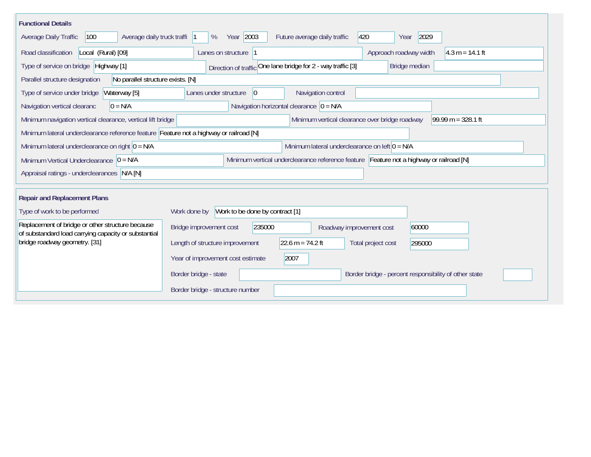| <b>Functional Details</b>                                                                                                             |                                                                                       |  |  |  |  |  |  |  |  |
|---------------------------------------------------------------------------------------------------------------------------------------|---------------------------------------------------------------------------------------|--|--|--|--|--|--|--|--|
| Average daily truck traffi<br>Average Daily Traffic<br>100                                                                            | Year 2003<br>2029<br>420<br>%<br>Future average daily traffic<br>Year                 |  |  |  |  |  |  |  |  |
| Road classification<br>Local (Rural) [09]                                                                                             | Approach roadway width<br>$4.3 m = 14.1 ft$<br>Lanes on structure  1                  |  |  |  |  |  |  |  |  |
| Direction of traffic One lane bridge for 2 - way traffic [3]<br>Type of service on bridge Highway [1]<br>Bridge median                |                                                                                       |  |  |  |  |  |  |  |  |
| No parallel structure exists. [N]<br>Parallel structure designation                                                                   |                                                                                       |  |  |  |  |  |  |  |  |
| Waterway [5]<br>Type of service under bridge                                                                                          | 0 <br>Navigation control<br>Lanes under structure                                     |  |  |  |  |  |  |  |  |
| Navigation vertical clearanc<br>$0 = N/A$                                                                                             | Navigation horizontal clearance $ 0 = N/A$                                            |  |  |  |  |  |  |  |  |
| Minimum vertical clearance over bridge roadway<br>99.99 m = $328.1$ ft<br>Minimum navigation vertical clearance, vertical lift bridge |                                                                                       |  |  |  |  |  |  |  |  |
| Minimum lateral underclearance reference feature Feature not a highway or railroad [N]                                                |                                                                                       |  |  |  |  |  |  |  |  |
| Minimum lateral underclearance on left $0 = N/A$<br>Minimum lateral underclearance on right $ 0 = N/A$                                |                                                                                       |  |  |  |  |  |  |  |  |
| Minimum vertical underclearance reference feature Feature not a highway or railroad [N]<br>Minimum Vertical Underclearance $ 0 = N/A$ |                                                                                       |  |  |  |  |  |  |  |  |
| Appraisal ratings - underclearances N/A [N]                                                                                           |                                                                                       |  |  |  |  |  |  |  |  |
|                                                                                                                                       |                                                                                       |  |  |  |  |  |  |  |  |
| <b>Repair and Replacement Plans</b>                                                                                                   |                                                                                       |  |  |  |  |  |  |  |  |
| Type of work to be performed                                                                                                          | Work to be done by contract [1]<br>Work done by                                       |  |  |  |  |  |  |  |  |
| Replacement of bridge or other structure because<br>of substandard load carrying capacity or substantial                              | 235000<br>60000<br>Bridge improvement cost<br>Roadway improvement cost                |  |  |  |  |  |  |  |  |
| bridge roadway geometry. [31]                                                                                                         | $22.6 m = 74.2 ft$<br>Length of structure improvement<br>Total project cost<br>295000 |  |  |  |  |  |  |  |  |
|                                                                                                                                       | Year of improvement cost estimate<br>2007                                             |  |  |  |  |  |  |  |  |
|                                                                                                                                       | Border bridge - state<br>Border bridge - percent responsibility of other state        |  |  |  |  |  |  |  |  |
|                                                                                                                                       | Border bridge - structure number                                                      |  |  |  |  |  |  |  |  |